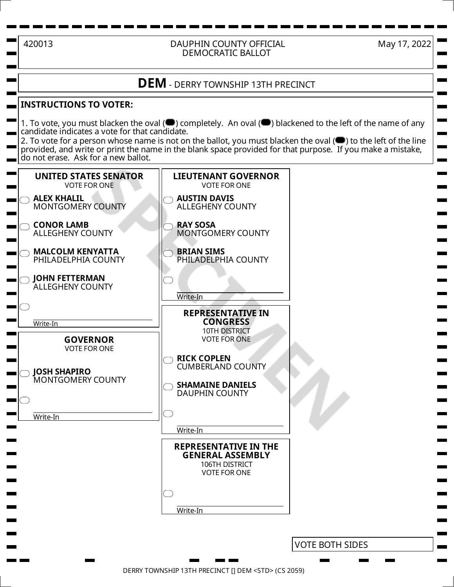## 420013 DAUPHIN COUNTY OFFICIAL DEMOCRATIC BALLOT

## **DEM** - DERRY TOWNSHIP 13TH PRECINCT

## **INSTRUCTIONS TO VOTER:**

1. To vote, you must blacken the oval ( $\blacksquare$ ) completely. An oval ( $\blacksquare$ ) blackened to the left of the name of any candidate indicates a vote for that candidate.

2. To vote for a person whose name is not on the ballot, you must blacken the oval ( $\blacksquare$ ) to the left of the line provided, and write or print the name in the blank space provided for that purpose. If you make a mistake, do not erase. Ask for a new ballot.



VOTE BOTH SIDES